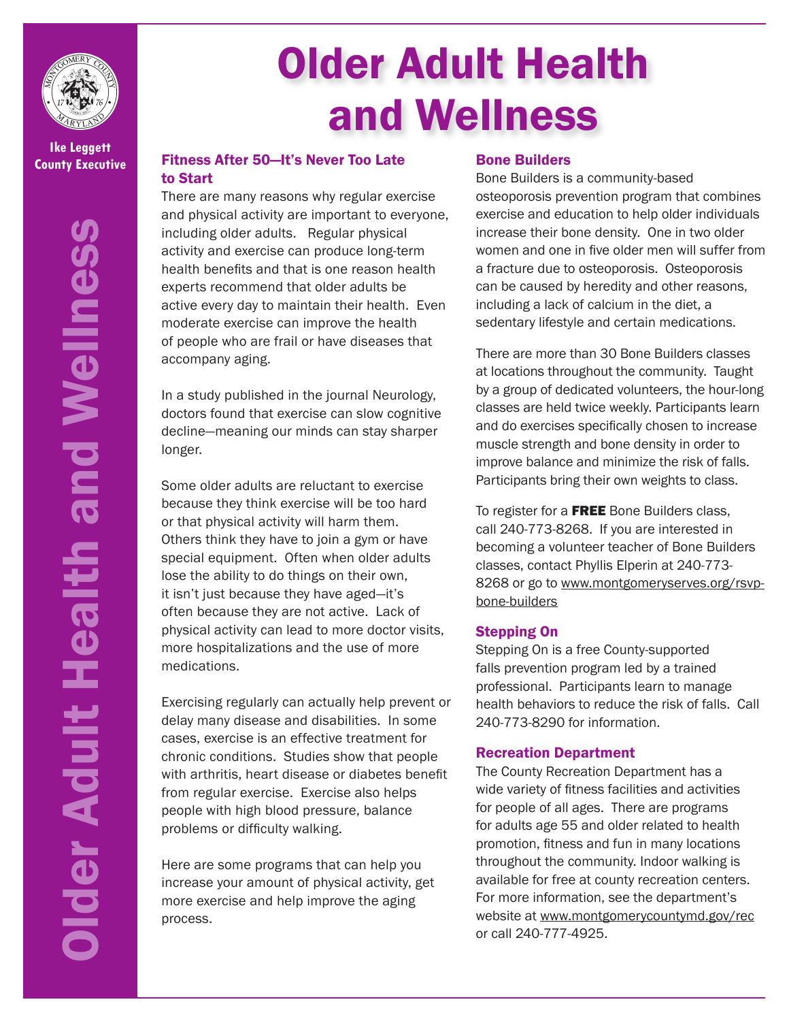

**Ike Leggett**

Older Adult Health and Wellness **Older Adult Health and Wellness** 

# Older Adult Health and Wellness

# **County Executive** Fitness After 50—It's Never Too Late to Start

There are many reasons why regular exercise and physical activity are important to everyone, including older adults. Regular physical activity and exercise can produce long-term health benefits and that is one reason health experts recommend that older adults be active every day to maintain their health. Even moderate exercise can improve the health of people who are frail or have diseases that accompany aging.

In a study published in the journal Neurology, doctors found that exercise can slow cognitive decline—meaning our minds can stay sharper longer.

Some older adults are reluctant to exercise because they think exercise will be too hard or that physical activity will harm them. Others think they have to join a gym or have special equipment. Often when older adults lose the ability to do things on their own, it isn't just because they have aged—it's often because they are not active. Lack of physical activity can lead to more doctor visits, more hospitalizations and the use of more medications.

Exercising regularly can actually help prevent or delay many disease and disabilities. In some cases, exercise is an effective treatment for chronic conditions. Studies show that people with arthritis, heart disease or diabetes benefit from regular exercise. Exercise also helps people with high blood pressure, balance problems or difficulty walking.

Here are some programs that can help you increase your amount of physical activity, get more exercise and help improve the aging process.

## Bone Builders

Bone Builders is a community-based osteoporosis prevention program that combines exercise and education to help older individuals increase their bone density. One in two older women and one in five older men will suffer from a fracture due to osteoporosis. Osteoporosis can be caused by heredity and other reasons, including a lack of calcium in the diet, a sedentary lifestyle and certain medications.

There are more than 30 Bone Builders classes at locations throughout the community. Taught by a group of dedicated volunteers, the hour-long classes are held twice weekly. Participants learn and do exercises specifically chosen to increase muscle strength and bone density in order to improve balance and minimize the risk of falls. Participants bring their own weights to class.

To register for a FREE Bone Builders class, call 240-773-8268. If you are interested in becoming a volunteer teacher of Bone Builders classes, contact Phyllis Elperin at 240-773- 8268 or go to www.montgomeryserves.org/rsvpbone-builders

# Stepping On

Stepping On is a free County-supported falls prevention program led by a trained professional. Participants learn to manage health behaviors to reduce the risk of falls. Call 240-773-8290 for information.

# Recreation Department

The County Recreation Department has a wide variety of fitness facilities and activities for people of all ages. There are programs for adults age 55 and older related to health promotion, fitness and fun in many locations throughout the community. Indoor walking is available for free at county recreation centers. For more information, see the department's website at www.montgomerycountymd.gov/rec or call 240-777-4925.